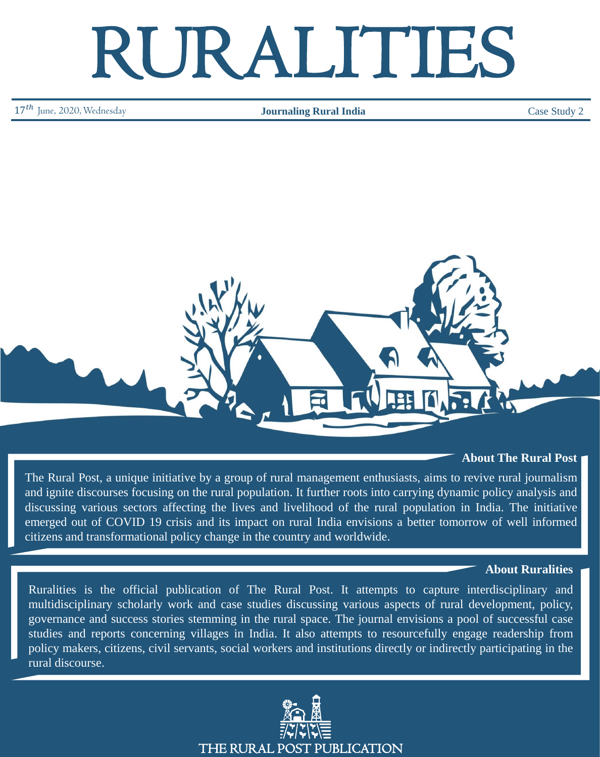# RURALITIES

17<sup>th</sup> June, 2020, Wednesday **Journaling Rural India** 

Case Study 2



# **About The Rural Post**

The Rural Post, a unique initiative by a group of rural management enthusiasts, aims to revive rural journalism and ignite discourses focusing on the rural population. It further roots into carrying dynamic policy analysis and discussing various sectors affecting the lives and livelihood of the rural population in India. The initiative emerged out of COVID 19 crisis and its impact on rural India envisions a better tomorrow of well informed citizens and transformational policy change in the country and worldwide.

#### **About Ruralities**

Ruralities is the official publication of The Rural Post. It attempts to capture interdisciplinary and multidisciplinary scholarly work and case studies discussing various aspects of rural development, policy, governance and success stories stemming in the rural space. The journal envisions a pool of successful case studies and reports concerning villages in India. It also attempts to resourcefully engage readership from policy makers, citizens, civil servants, social workers and institutions directly or indirectly participating in the rural discourse.

THE RURAL POST PUBLICATION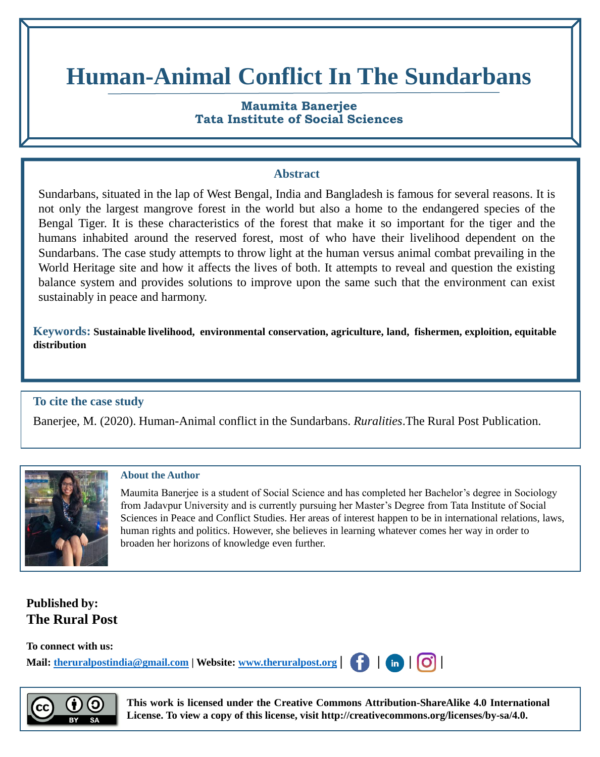# **Human-Animal Conflict In The Sundarbans**

# **Maumita Banerjee Tata Institute of Social Sciences**

### **Abstract**

Sundarbans, situated in the lap of West Bengal, India and Bangladesh is famous for several reasons. It is not only the largest mangrove forest in the world but also a home to the endangered species of the Bengal Tiger. It is these characteristics of the forest that make it so important for the tiger and the humans inhabited around the reserved forest, most of who have their livelihood dependent on the Sundarbans. The case study attempts to throw light at the human versus animal combat prevailing in the World Heritage site and how it affects the lives of both. It attempts to reveal and question the existing balance system and provides solutions to improve upon the same such that the environment can exist sustainably in peace and harmony.

**Keywords: Sustainable livelihood, environmental conservation, agriculture, land, fishermen, exploition, equitable distribution** 

# **To cite the case study**

Banerjee, M. (2020). Human-Animal conflict in the Sundarbans. *Ruralities*.The Rural Post Publication.



#### **About the Author**

Maumita Banerjee is a student of Social Science and has completed her Bachelor's degree in Sociology from Jadavpur University and is currently pursuing her Master's Degree from Tata Institute of Social Sciences in Peace and Conflict Studies. Her areas of interest happen to be in international relations, laws, human rights and politics. However, she believes in learning whatever comes her way in order to broaden her horizons of knowledge even further.

# **Published by: The Rural Post**

**To connect with us: Mail: [theruralpostindia@gmail.com](mailto:theruralpostindia@gmail.com) | Website: [www.theruralpost.org](http://www.theruralpost.org/) | | | |**



**This work is licensed under the Creative Commons Attribution-ShareAlike 4.0 International License. To view a copy of this license, visit http://creativecommons.org/licenses/by-sa/4.0.**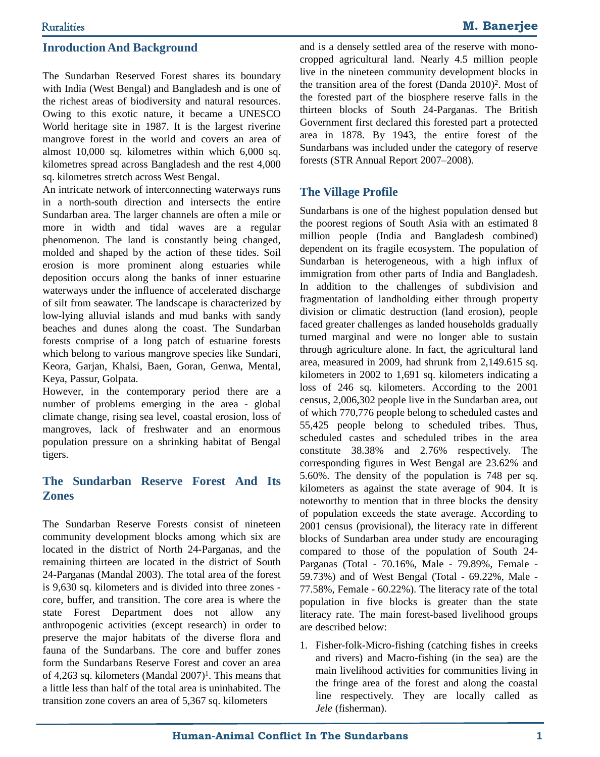The Sundarban Reserved Forest shares its boundary with India (West Bengal) and Bangladesh and is one of the richest areas of biodiversity and natural resources. Owing to this exotic nature, it became a UNESCO World heritage site in 1987. It is the largest riverine mangrove forest in the world and covers an area of almost 10,000 sq. kilometres within which 6,000 sq. kilometres spread across Bangladesh and the rest 4,000 sq. kilometres stretch across West Bengal.

An intricate network of interconnecting waterways runs in a north-south direction and intersects the entire Sundarban area. The larger channels are often a mile or more in width and tidal waves are a regular phenomenon. The land is constantly being changed, molded and shaped by the action of these tides. Soil erosion is more prominent along estuaries while deposition occurs along the banks of inner estuarine waterways under the influence of accelerated discharge of silt from seawater. The landscape is characterized by low-lying alluvial islands and mud banks with sandy beaches and dunes along the coast. The Sundarban forests comprise of a long patch of estuarine forests which belong to various mangrove species like Sundari, Keora, Garjan, Khalsi, Baen, Goran, Genwa, Mental, Keya, Passur, Golpata.

However, in the contemporary period there are a number of problems emerging in the area - global climate change, rising sea level, coastal erosion, loss of mangroves, lack of freshwater and an enormous population pressure on a shrinking habitat of Bengal tigers.

# **The Sundarban Reserve Forest And Its Zones**

The Sundarban Reserve Forests consist of nineteen community development blocks among which six are located in the district of North 24-Parganas, and the remaining thirteen are located in the district of South 24-Parganas (Mandal 2003). The total area of the forest is 9,630 sq. kilometers and is divided into three zones core, buffer, and transition. The core area is where the state Forest Department does not allow any anthropogenic activities (except research) in order to preserve the major habitats of the diverse flora and fauna of the Sundarbans. The core and buffer zones form the Sundarbans Reserve Forest and cover an area of 4,263 sq. kilometers (Mandal 2007) 1 . This means that a little less than half of the total area is uninhabited. The transition zone covers an area of 5,367 sq. kilometers

and is a densely settled area of the reserve with monocropped agricultural land. Nearly 4.5 million people live in the nineteen community development blocks in the transition area of the forest (Danda 2010) 2 . Most of the forested part of the biosphere reserve falls in the thirteen blocks of South 24-Parganas. The British Government first declared this forested part a protected area in 1878. By 1943, the entire forest of the Sundarbans was included under the category of reserve forests (STR Annual Report 2007–2008).

### **The Village Profile**

Sundarbans is one of the highest population densed but the poorest regions of South Asia with an estimated 8 million people (India and Bangladesh combined) dependent on its fragile ecosystem. The population of Sundarban is heterogeneous, with a high influx of immigration from other parts of India and Bangladesh. In addition to the challenges of subdivision and fragmentation of landholding either through property division or climatic destruction (land erosion), people faced greater challenges as landed households gradually turned marginal and were no longer able to sustain through agriculture alone. In fact, the agricultural land area, measured in 2009, had shrunk from 2,149.615 sq. kilometers in 2002 to 1,691 sq. kilometers indicating a loss of 246 sq. kilometers. According to the 2001 census, 2,006,302 people live in the Sundarban area, out of which 770,776 people belong to scheduled castes and 55,425 people belong to scheduled tribes. Thus, scheduled castes and scheduled tribes in the area constitute 38.38% and 2.76% respectively. The corresponding figures in West Bengal are 23.62% and 5.60%. The density of the population is 748 per sq. kilometers as against the state average of 904. It is noteworthy to mention that in three blocks the density of population exceeds the state average. According to 2001 census (provisional), the literacy rate in different blocks of Sundarban area under study are encouraging compared to those of the population of South 24- Parganas (Total - 70.16%, Male - 79.89%, Female - 59.73%) and of West Bengal (Total - 69.22%, Male - 77.58%, Female - 60.22%). The literacy rate of the total population in five blocks is greater than the state literacy rate. The main forest-based livelihood groups are described below:

1. Fisher-folk-Micro-fishing (catching fishes in creeks and rivers) and Macro-fishing (in the sea) are the main livelihood activities for communities living in the fringe area of the forest and along the coastal line respectively. They are locally called as *Jele* (fisherman).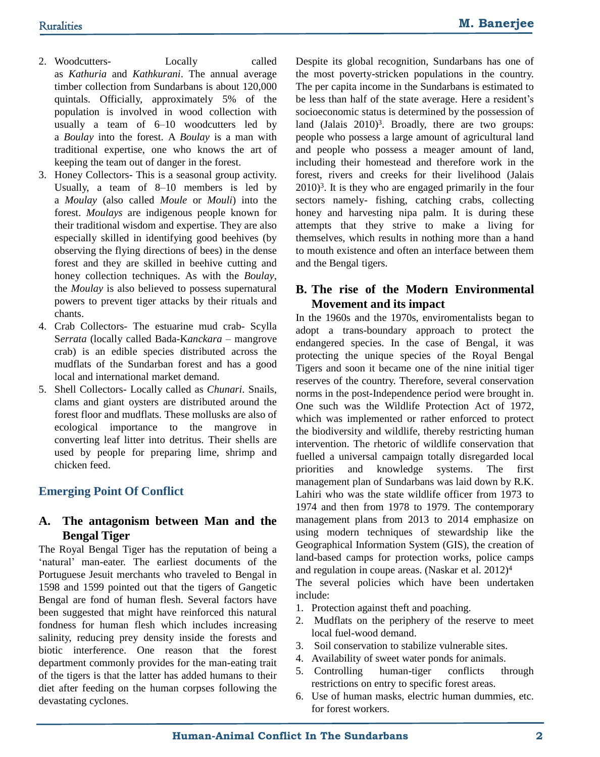- 2. Woodcutters- Locally called as *Kathuria* and *Kathkurani*. The annual average timber collection from Sundarbans is about 120,000 quintals. Officially, approximately 5% of the population is involved in wood collection with usually a team of 6–10 woodcutters led by a *Boulay* into the forest. A *Boulay* is a man with traditional expertise, one who knows the art of keeping the team out of danger in the forest.
- 3. Honey Collectors- This is a seasonal group activity. Usually, a team of 8–10 members is led by a *Moulay* (also called *Moule* or *Mouli*) into the forest. *Moulays* are indigenous people known for their traditional wisdom and expertise. They are also especially skilled in identifying good beehives (by observing the flying directions of bees) in the dense forest and they are skilled in beehive cutting and honey collection techniques. As with the *Boulay*, the *Moulay* is also believed to possess supernatural powers to prevent tiger attacks by their rituals and chants.
- 4. Crab Collectors- The estuarine mud crab- Scylla S*errata* (locally called Bada-K*anckara* – mangrove crab) is an edible species distributed across the mudflats of the Sundarban forest and has a good local and international market demand.
- 5. Shell Collectors- Locally called as *Chunari*. Snails, clams and giant oysters are distributed around the forest floor and mudflats. These mollusks are also of ecological importance to the mangrove in converting leaf litter into detritus. Their shells are used by people for preparing lime, shrimp and chicken feed.

# **Emerging Point Of Conflict**

# **A. The antagonism between Man and the Bengal Tiger**

The Royal Bengal Tiger has the reputation of being a 'natural' man-eater. The earliest documents of the Portuguese Jesuit merchants who traveled to Bengal in 1598 and 1599 pointed out that the tigers of Gangetic Bengal are fond of human flesh. Several factors have been suggested that might have reinforced this natural fondness for human flesh which includes increasing salinity, reducing prey density inside the forests and biotic interference. One reason that the forest department commonly provides for the man-eating trait of the tigers is that the latter has added humans to their diet after feeding on the human corpses following the devastating cyclones.

Despite its global recognition, Sundarbans has one of the most poverty-stricken populations in the country. The per capita income in the Sundarbans is estimated to be less than half of the state average. Here a resident's socioeconomic status is determined by the possession of land (Jalais 2010)<sup>3</sup>. Broadly, there are two groups: people who possess a large amount of agricultural land and people who possess a meager amount of land, including their homestead and therefore work in the forest, rivers and creeks for their livelihood (Jalais 2010) 3 . It is they who are engaged primarily in the four sectors namely- fishing, catching crabs, collecting honey and harvesting nipa palm. It is during these attempts that they strive to make a living for themselves, which results in nothing more than a hand to mouth existence and often an interface between them and the Bengal tigers.

# **B. The rise of the Modern Environmental Movement and its impact**

In the 1960s and the 1970s, enviromentalists began to adopt a trans-boundary approach to protect the endangered species. In the case of Bengal, it was protecting the unique species of the Royal Bengal Tigers and soon it became one of the nine initial tiger reserves of the country. Therefore, several conservation norms in the post-Independence period were brought in. One such was the Wildlife Protection Act of 1972, which was implemented or rather enforced to protect the biodiversity and wildlife, thereby restricting human intervention. The rhetoric of wildlife conservation that fuelled a universal campaign totally disregarded local priorities and knowledge systems. The first management plan of Sundarbans was laid down by R.K. Lahiri who was the state wildlife officer from 1973 to 1974 and then from 1978 to 1979. The contemporary management plans from 2013 to 2014 emphasize on using modern techniques of stewardship like the Geographical Information System (GIS), the creation of land-based camps for protection works, police camps and regulation in coupe areas. (Naskar et al. 2012) 4

The several policies which have been undertaken include:

- 1. Protection against theft and poaching.
- 2. Mudflats on the periphery of the reserve to meet local fuel-wood demand.
- 3. Soil conservation to stabilize vulnerable sites.
- 4. Availability of sweet water ponds for animals.
- 5. Controlling human-tiger conflicts through restrictions on entry to specific forest areas.
- 6. Use of human masks, electric human dummies, etc. for forest workers.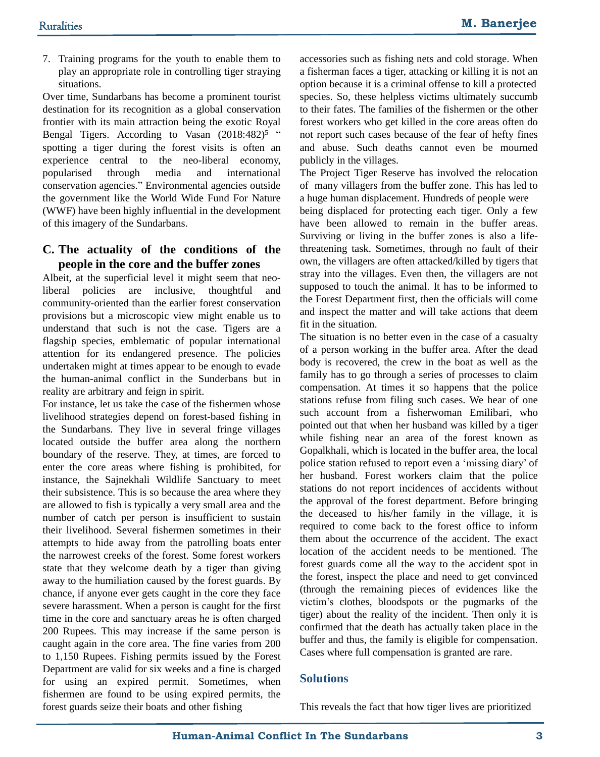7. Training programs for the youth to enable them to play an appropriate role in controlling tiger straying situations.

Over time, Sundarbans has become a prominent tourist destination for its recognition as a global conservation frontier with its main attraction being the exotic Royal Bengal Tigers. According to Vasan (2018:482)<sup>5</sup> " spotting a tiger during the forest visits is often an experience central to the neo-liberal economy, popularised through media and international conservation agencies." Environmental agencies outside the government like the World Wide Fund For Nature (WWF) have been highly influential in the development of this imagery of the Sundarbans.

#### **C. The actuality of the conditions of the people in the core and the buffer zones**

Albeit, at the superficial level it might seem that neoliberal policies are inclusive, thoughtful and community-oriented than the earlier forest conservation provisions but a microscopic view might enable us to understand that such is not the case. Tigers are a flagship species, emblematic of popular international attention for its endangered presence. The policies undertaken might at times appear to be enough to evade the human-animal conflict in the Sunderbans but in reality are arbitrary and feign in spirit.

For instance, let us take the case of the fishermen whose livelihood strategies depend on forest-based fishing in the Sundarbans. They live in several fringe villages located outside the buffer area along the northern boundary of the reserve. They, at times, are forced to enter the core areas where fishing is prohibited, for instance, the Sajnekhali Wildlife Sanctuary to meet their subsistence. This is so because the area where they are allowed to fish is typically a very small area and the number of catch per person is insufficient to sustain their livelihood. Several fishermen sometimes in their attempts to hide away from the patrolling boats enter the narrowest creeks of the forest. Some forest workers state that they welcome death by a tiger than giving away to the humiliation caused by the forest guards. By chance, if anyone ever gets caught in the core they face severe harassment. When a person is caught for the first time in the core and sanctuary areas he is often charged 200 Rupees. This may increase if the same person is caught again in the core area. The fine varies from 200 to 1,150 Rupees. Fishing permits issued by the Forest Department are valid for six weeks and a fine is charged for using an expired permit. Sometimes, when fishermen are found to be using expired permits, the forest guards seize their boats and other fishing

accessories such as fishing nets and cold storage. When a fisherman faces a tiger, attacking or killing it is not an option because it is a criminal offense to kill a protected species. So, these helpless victims ultimately succumb to their fates. The families of the fishermen or the other forest workers who get killed in the core areas often do not report such cases because of the fear of hefty fines and abuse. Such deaths cannot even be mourned publicly in the villages.

The Project Tiger Reserve has involved the relocation of many villagers from the buffer zone. This has led to a huge human displacement. Hundreds of people were being displaced for protecting each tiger. Only a few have been allowed to remain in the buffer areas. Surviving or living in the buffer zones is also a lifethreatening task. Sometimes, through no fault of their own, the villagers are often attacked/killed by tigers that stray into the villages. Even then, the villagers are not supposed to touch the animal. It has to be informed to the Forest Department first, then the officials will come and inspect the matter and will take actions that deem fit in the situation.

The situation is no better even in the case of a casualty of a person working in the buffer area. After the dead body is recovered, the crew in the boat as well as the family has to go through a series of processes to claim compensation. At times it so happens that the police stations refuse from filing such cases. We hear of one such account from a fisherwoman Emilibari, who pointed out that when her husband was killed by a tiger while fishing near an area of the forest known as Gopalkhali, which is located in the buffer area, the local police station refused to report even a 'missing diary' of her husband. Forest workers claim that the police stations do not report incidences of accidents without the approval of the forest department. Before bringing the deceased to his/her family in the village, it is required to come back to the forest office to inform them about the occurrence of the accident. The exact location of the accident needs to be mentioned. The forest guards come all the way to the accident spot in the forest, inspect the place and need to get convinced (through the remaining pieces of evidences like the victim's clothes, bloodspots or the pugmarks of the tiger) about the reality of the incident. Then only it is confirmed that the death has actually taken place in the buffer and thus, the family is eligible for compensation. Cases where full compensation is granted are rare.

#### **Solutions**

This reveals the fact that how tiger lives are prioritized